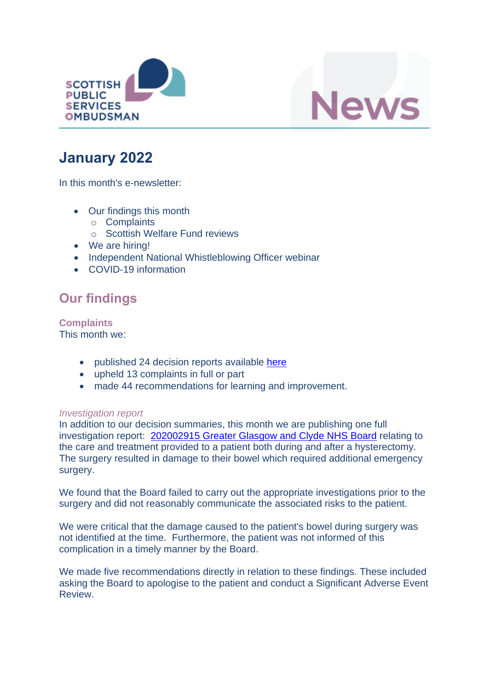



# **January 2022**

In this month's e-newsletter:

- Our findings this month
	- o Complaints
	- o Scottish Welfare Fund reviews
- We are hiring!
- Independent National Whistleblowing Officer webinar
- COVID-19 information

## **Our findings**

**Complaints** This month we:

- published 24 decision reports available [here](https://www.spso.org.uk/our-findings)
- upheld 13 complaints in full or part
- made 44 recommendations for learning and improvement.

#### *Investigation report*

In addition to our decision summaries, this month we are publishing one full investigation report: [202002915 Greater Glasgow and Clyde NHS Board](https://www.spso.org.uk/investigation-reports/2022/january/greater-glasgow-and-clyde-nhs-board-acute-services-division) relating to the care and treatment provided to a patient both during and after a hysterectomy. The surgery resulted in damage to their bowel which required additional emergency surgery.

We found that the Board failed to carry out the appropriate investigations prior to the surgery and did not reasonably communicate the associated risks to the patient.

We were critical that the damage caused to the patient's bowel during surgery was not identified at the time. Furthermore, the patient was not informed of this complication in a timely manner by the Board.

We made five recommendations directly in relation to these findings. These included asking the Board to apologise to the patient and conduct a Significant Adverse Event Review.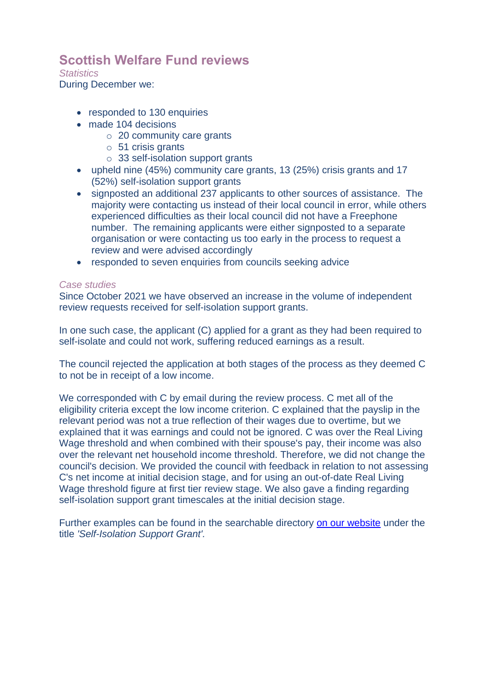### **Scottish Welfare Fund reviews**

*Statistics*

During December we:

- responded to 130 enquiries
- made 104 decisions
	- o 20 community care grants
	- o 51 crisis grants
	- o 33 self-isolation support grants
- upheld nine (45%) community care grants, 13 (25%) crisis grants and 17 (52%) self-isolation support grants
- signposted an additional 237 applicants to other sources of assistance. The majority were contacting us instead of their local council in error, while others experienced difficulties as their local council did not have a Freephone number. The remaining applicants were either signposted to a separate organisation or were contacting us too early in the process to request a review and were advised accordingly
- responded to seven enquiries from councils seeking advice

### *Case studies*

Since October 2021 we have observed an increase in the volume of independent review requests received for self-isolation support grants.

In one such case, the applicant (C) applied for a grant as they had been required to self-isolate and could not work, suffering reduced earnings as a result.

The council rejected the application at both stages of the process as they deemed C to not be in receipt of a low income.

We corresponded with C by email during the review process. C met all of the eligibility criteria except the low income criterion. C explained that the payslip in the relevant period was not a true reflection of their wages due to overtime, but we explained that it was earnings and could not be ignored. C was over the Real Living Wage threshold and when combined with their spouse's pay, their income was also over the relevant net household income threshold. Therefore, we did not change the council's decision. We provided the council with feedback in relation to not assessing C's net income at initial decision stage, and for using an out-of-date Real Living Wage threshold figure at first tier review stage. We also gave a finding regarding self-isolation support grant timescales at the initial decision stage.

Further examples can be found in the searchable directory [on our website](https://www.spso.org.uk/scottishwelfarefund/case-summaries) under the title *'Self-Isolation Support Grant'.*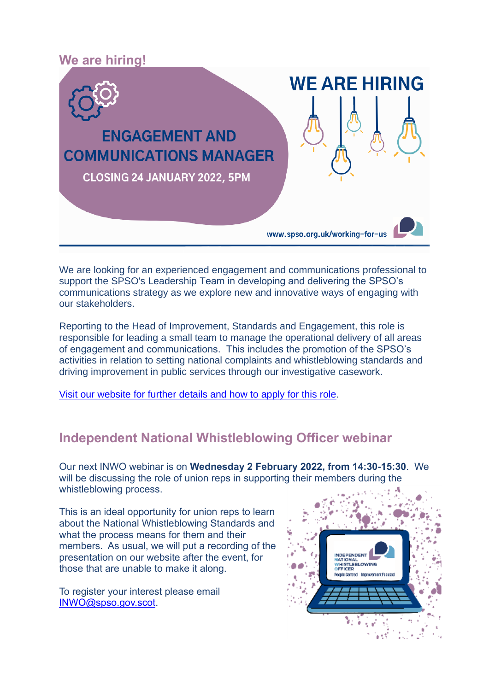

We are looking for an experienced engagement and communications professional to support the SPSO's Leadership Team in developing and delivering the SPSO's communications strategy as we explore new and innovative ways of engaging with our stakeholders.

Reporting to the Head of Improvement, Standards and Engagement, this role is responsible for leading a small team to manage the operational delivery of all areas of engagement and communications. This includes the promotion of the SPSO's activities in relation to setting national complaints and whistleblowing standards and driving improvement in public services through our investigative casework.

[Visit our website for further details and how to apply for this role.](https://www.spso.org.uk/vacancy-engagement-and-communications-manager)

### **Independent National Whistleblowing Officer webinar**

Our next INWO webinar is on **Wednesday 2 February 2022, from 14:30-15:30**. We will be discussing the role of union reps in supporting their members during the whistleblowing process.

This is an ideal opportunity for union reps to learn about the National Whistleblowing Standards and what the process means for them and their members. As usual, we will put a recording of the presentation on our website after the event, for those that are unable to make it along.

To register your interest please email [INWO@spso.gov.scot.](mailto:INWO@spso.gov.scot)